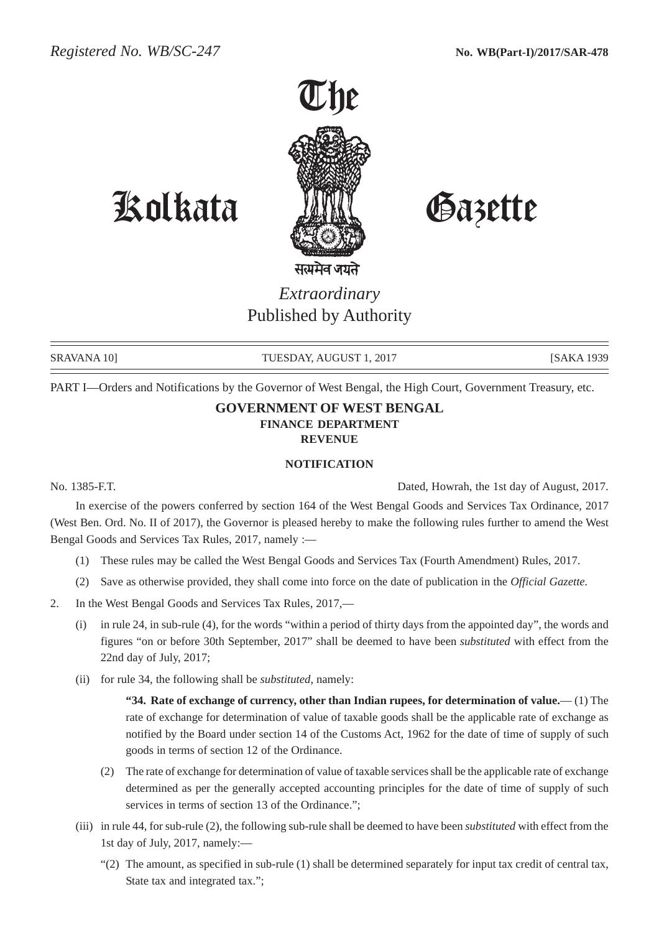

Kolkata Gazette

*Extraordinary* Published by Authority

SRAVANA 10] TUESDAY, AUGUST 1, 2017 [SAKA 1939]

PART I—Orders and Notifications by the Governor of West Bengal, the High Court, Government Treasury, etc.

## **GOVERNMENT OF WEST BENGAL FINANCE DEPARTMENT REVENUE**

## **NOTIFICATION**

No. 1385-F.T. Dated, Howrah, the 1st day of August, 2017.

In exercise of the powers conferred by section 164 of the West Bengal Goods and Services Tax Ordinance, 2017 (West Ben. Ord. No. II of 2017), the Governor is pleased hereby to make the following rules further to amend the West Bengal Goods and Services Tax Rules, 2017, namely :—

- (1) These rules may be called the West Bengal Goods and Services Tax (Fourth Amendment) Rules, 2017.
- (2) Save as otherwise provided, they shall come into force on the date of publication in the *Official Gazette*.
- 2. In the West Bengal Goods and Services Tax Rules, 2017,—
	- (i) in rule 24, in sub-rule (4), for the words "within a period of thirty days from the appointed day", the words and figures "on or before 30th September, 2017" shall be deemed to have been *substituted* with effect from the 22nd day of July, 2017;
	- (ii) for rule 34, the following shall be *substituted*, namely:

**"34. Rate of exchange of currency, other than Indian rupees, for determination of value.**— (1) The rate of exchange for determination of value of taxable goods shall be the applicable rate of exchange as notified by the Board under section 14 of the Customs Act, 1962 for the date of time of supply of such goods in terms of section 12 of the Ordinance.

- (2) The rate of exchange for determination of value of taxable services shall be the applicable rate of exchange determined as per the generally accepted accounting principles for the date of time of supply of such services in terms of section 13 of the Ordinance.";
- (iii) in rule 44, for sub-rule (2), the following sub-rule shall be deemed to have been *substituted* with effect from the 1st day of July, 2017, namely:—
	- $(2)$  The amount, as specified in sub-rule (1) shall be determined separately for input tax credit of central tax, State tax and integrated tax.";